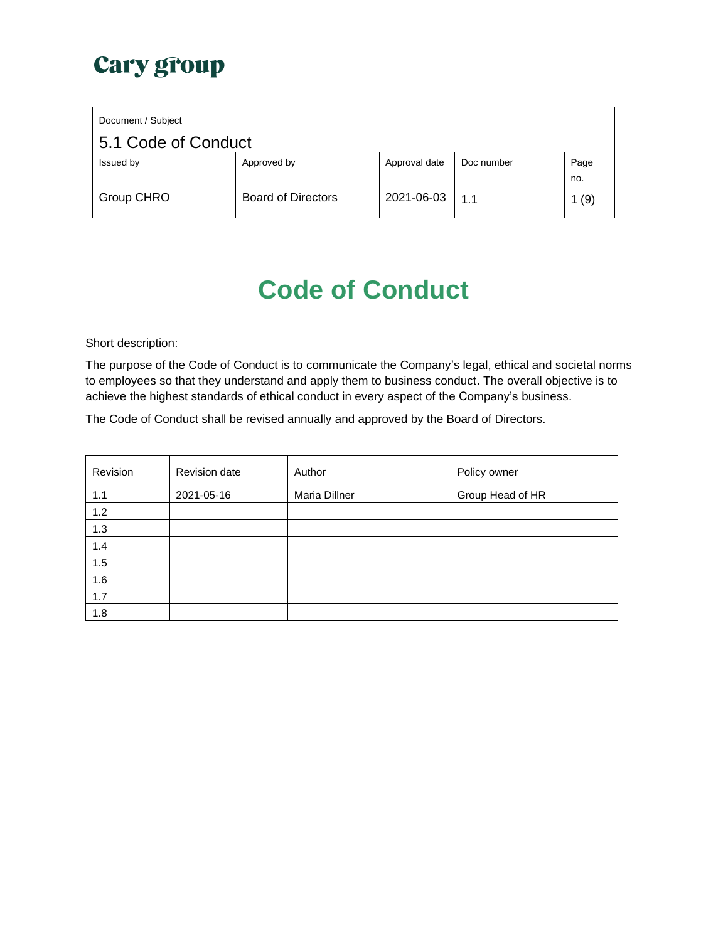| Document / Subject  |                           |               |            |      |
|---------------------|---------------------------|---------------|------------|------|
| 5.1 Code of Conduct |                           |               |            |      |
| Issued by           | Approved by               | Approval date | Doc number | Page |
|                     |                           |               |            | no.  |
| Group CHRO          | <b>Board of Directors</b> | 2021-06-03    | 1.1        | 1(9) |

# **Code of Conduct**

Short description:

The purpose of the Code of Conduct is to communicate the Company's legal, ethical and societal norms to employees so that they understand and apply them to business conduct. The overall objective is to achieve the highest standards of ethical conduct in every aspect of the Company's business.

The Code of Conduct shall be revised annually and approved by the Board of Directors.

| Revision | Revision date | Author        | Policy owner     |
|----------|---------------|---------------|------------------|
| 1.1      | 2021-05-16    | Maria Dillner | Group Head of HR |
| 1.2      |               |               |                  |
| 1.3      |               |               |                  |
| 1.4      |               |               |                  |
| 1.5      |               |               |                  |
| 1.6      |               |               |                  |
| 1.7      |               |               |                  |
| 1.8      |               |               |                  |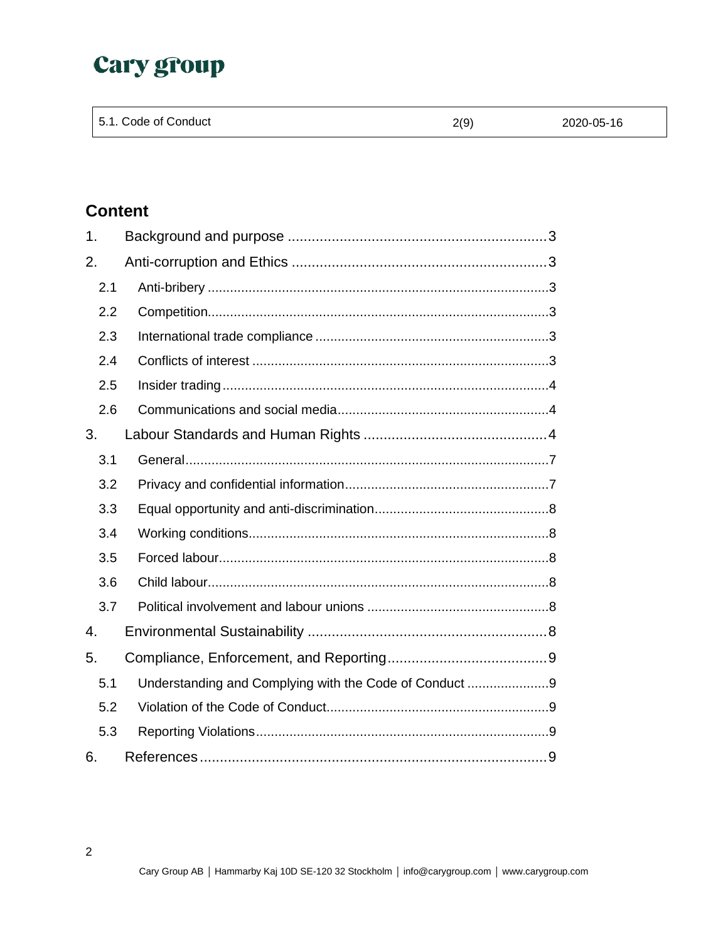| 5.1. Code of Conduct<br>2(9)<br>2020-05-16 |
|--------------------------------------------|
|--------------------------------------------|

## **Content**

| 1.  |                                                        |
|-----|--------------------------------------------------------|
| 2.  |                                                        |
| 2.1 |                                                        |
| 2.2 |                                                        |
| 2.3 |                                                        |
| 2.4 |                                                        |
| 2.5 |                                                        |
| 2.6 |                                                        |
| 3.  |                                                        |
| 3.1 |                                                        |
| 3.2 |                                                        |
| 3.3 |                                                        |
| 3.4 |                                                        |
| 3.5 |                                                        |
| 3.6 |                                                        |
| 3.7 |                                                        |
| 4.  |                                                        |
| 5.  |                                                        |
| 5.1 | Understanding and Complying with the Code of Conduct 9 |
| 5.2 |                                                        |
| 5.3 |                                                        |
| 6.  |                                                        |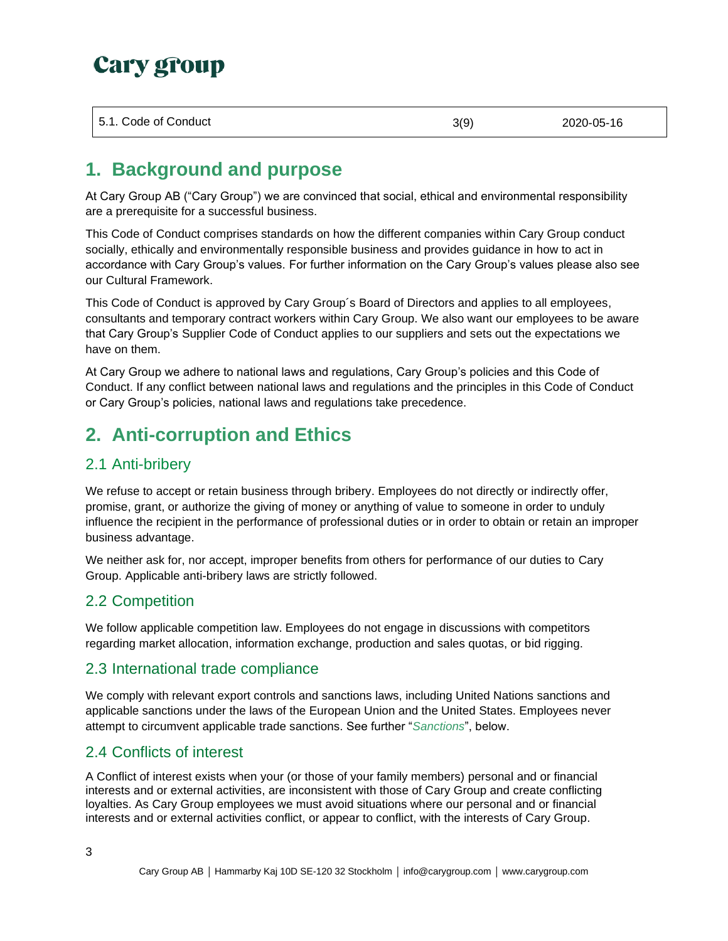| 5.1. Code of Conduct | 3(9) | 2020-05-16 |
|----------------------|------|------------|
|                      |      |            |

## <span id="page-2-0"></span>**1. Background and purpose**

At Cary Group AB ("Cary Group") we are convinced that social, ethical and environmental responsibility are a prerequisite for a successful business.

This Code of Conduct comprises standards on how the different companies within Cary Group conduct socially, ethically and environmentally responsible business and provides guidance in how to act in accordance with Cary Group's values. For further information on the Cary Group's values please also see our Cultural Framework.

This Code of Conduct is approved by Cary Group´s Board of Directors and applies to all employees, consultants and temporary contract workers within Cary Group. We also want our employees to be aware that Cary Group's Supplier Code of Conduct applies to our suppliers and sets out the expectations we have on them.

At Cary Group we adhere to national laws and regulations, Cary Group's policies and this Code of Conduct. If any conflict between national laws and regulations and the principles in this Code of Conduct or Cary Group's policies, national laws and regulations take precedence.

## <span id="page-2-1"></span>**2. Anti-corruption and Ethics**

## <span id="page-2-2"></span>2.1 Anti-bribery

We refuse to accept or retain business through bribery. Employees do not directly or indirectly offer, promise, grant, or authorize the giving of money or anything of value to someone in order to unduly influence the recipient in the performance of professional duties or in order to obtain or retain an improper business advantage.

We neither ask for, nor accept, improper benefits from others for performance of our duties to Cary Group. Applicable anti-bribery laws are strictly followed.

### <span id="page-2-3"></span>2.2 Competition

We follow applicable competition law. Employees do not engage in discussions with competitors regarding market allocation, information exchange, production and sales quotas, or bid rigging.

### <span id="page-2-4"></span>2.3 International trade compliance

We comply with relevant export controls and sanctions laws, including United Nations sanctions and applicable sanctions under the laws of the European Union and the United States. Employees never attempt to circumvent applicable trade sanctions. See further "*[Sanctions](#page-3-2)*", below.

### <span id="page-2-5"></span>2.4 Conflicts of interest

A Conflict of interest exists when your (or those of your family members) personal and or financial interests and or external activities, are inconsistent with those of Cary Group and create conflicting loyalties. As Cary Group employees we must avoid situations where our personal and or financial interests and or external activities conflict, or appear to conflict, with the interests of Cary Group.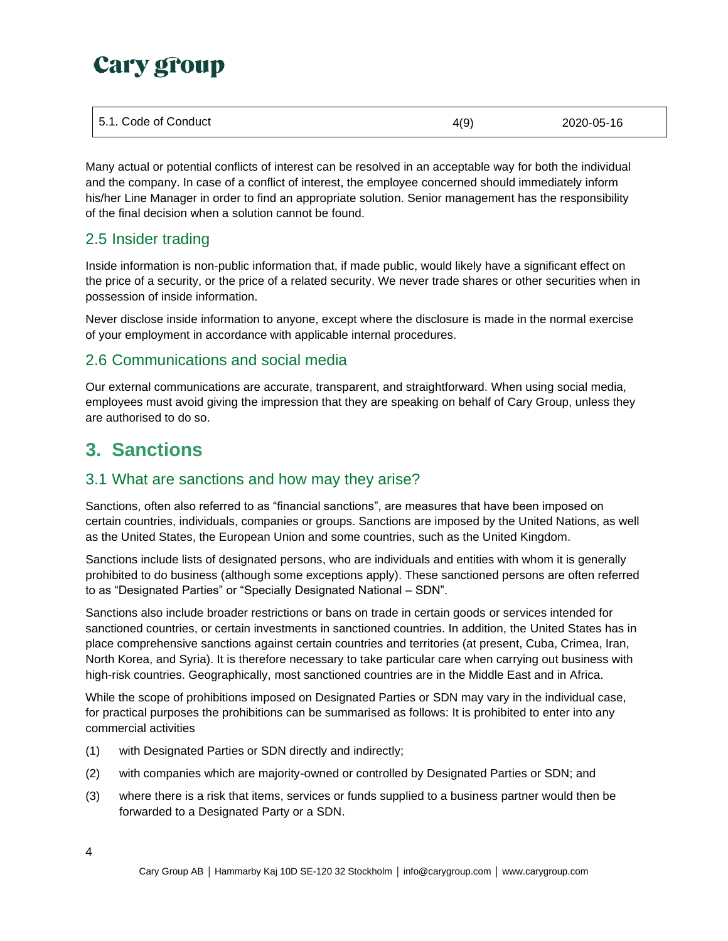| 5.1. Code of Conduct | 4(9) | 2020-05-16 |
|----------------------|------|------------|
|----------------------|------|------------|

Many actual or potential conflicts of interest can be resolved in an acceptable way for both the individual and the company. In case of a conflict of interest, the employee concerned should immediately inform his/her Line Manager in order to find an appropriate solution. Senior management has the responsibility of the final decision when a solution cannot be found.

## <span id="page-3-0"></span>2.5 Insider trading

Inside information is non-public information that, if made public, would likely have a significant effect on the price of a security, or the price of a related security. We never trade shares or other securities when in possession of inside information.

Never disclose inside information to anyone, except where the disclosure is made in the normal exercise of your employment in accordance with applicable internal procedures.

## <span id="page-3-1"></span>2.6 Communications and social media

Our external communications are accurate, transparent, and straightforward. When using social media, employees must avoid giving the impression that they are speaking on behalf of Cary Group, unless they are authorised to do so.

## <span id="page-3-2"></span>**3. Sanctions**

## 3.1 What are sanctions and how may they arise?

Sanctions, often also referred to as "financial sanctions", are measures that have been imposed on certain countries, individuals, companies or groups. Sanctions are imposed by the United Nations, as well as the United States, the European Union and some countries, such as the United Kingdom.

Sanctions include lists of designated persons, who are individuals and entities with whom it is generally prohibited to do business (although some exceptions apply). These sanctioned persons are often referred to as "Designated Parties" or "Specially Designated National – SDN".

Sanctions also include broader restrictions or bans on trade in certain goods or services intended for sanctioned countries, or certain investments in sanctioned countries. In addition, the United States has in place comprehensive sanctions against certain countries and territories (at present, Cuba, Crimea, Iran, North Korea, and Syria). It is therefore necessary to take particular care when carrying out business with high-risk countries. Geographically, most sanctioned countries are in the Middle East and in Africa.

While the scope of prohibitions imposed on Designated Parties or SDN may vary in the individual case, for practical purposes the prohibitions can be summarised as follows: It is prohibited to enter into any commercial activities

- (1) with Designated Parties or SDN directly and indirectly;
- (2) with companies which are majority-owned or controlled by Designated Parties or SDN; and
- (3) where there is a risk that items, services or funds supplied to a business partner would then be forwarded to a Designated Party or a SDN.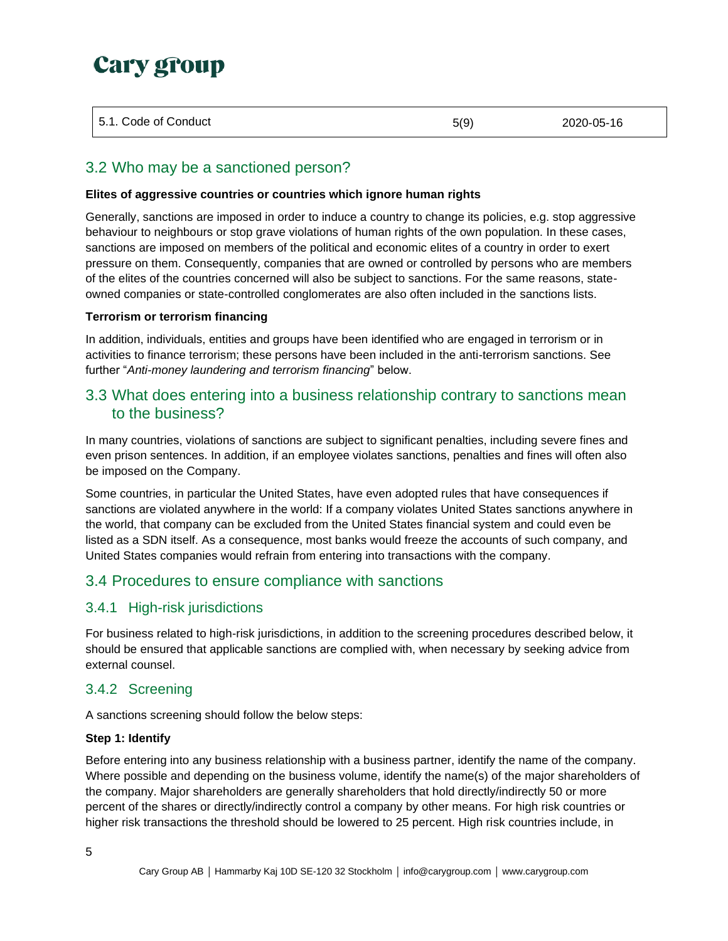#### 5.1. Code of Conduct 5(9) 2020-05-16

## 3.2 Who may be a sanctioned person?

#### **Elites of aggressive countries or countries which ignore human rights**

Generally, sanctions are imposed in order to induce a country to change its policies, e.g. stop aggressive behaviour to neighbours or stop grave violations of human rights of the own population. In these cases, sanctions are imposed on members of the political and economic elites of a country in order to exert pressure on them. Consequently, companies that are owned or controlled by persons who are members of the elites of the countries concerned will also be subject to sanctions. For the same reasons, stateowned companies or state-controlled conglomerates are also often included in the sanctions lists.

#### **Terrorism or terrorism financing**

In addition, individuals, entities and groups have been identified who are engaged in terrorism or in activities to finance terrorism; these persons have been included in the anti-terrorism sanctions. See further "*Anti-money laundering and terrorism financing*" below.

## 3.3 What does entering into a business relationship contrary to sanctions mean to the business?

In many countries, violations of sanctions are subject to significant penalties, including severe fines and even prison sentences. In addition, if an employee violates sanctions, penalties and fines will often also be imposed on the Company.

Some countries, in particular the United States, have even adopted rules that have consequences if sanctions are violated anywhere in the world: If a company violates United States sanctions anywhere in the world, that company can be excluded from the United States financial system and could even be listed as a SDN itself. As a consequence, most banks would freeze the accounts of such company, and United States companies would refrain from entering into transactions with the company.

## 3.4 Procedures to ensure compliance with sanctions

### 3.4.1 High-risk jurisdictions

For business related to high-risk jurisdictions, in addition to the screening procedures described below, it should be ensured that applicable sanctions are complied with, when necessary by seeking advice from external counsel.

### 3.4.2 Screening

A sanctions screening should follow the below steps:

#### **Step 1: Identify**

Before entering into any business relationship with a business partner, identify the name of the company. Where possible and depending on the business volume, identify the name(s) of the major shareholders of the company. Major shareholders are generally shareholders that hold directly/indirectly 50 or more percent of the shares or directly/indirectly control a company by other means. For high risk countries or higher risk transactions the threshold should be lowered to 25 percent. High risk countries include, in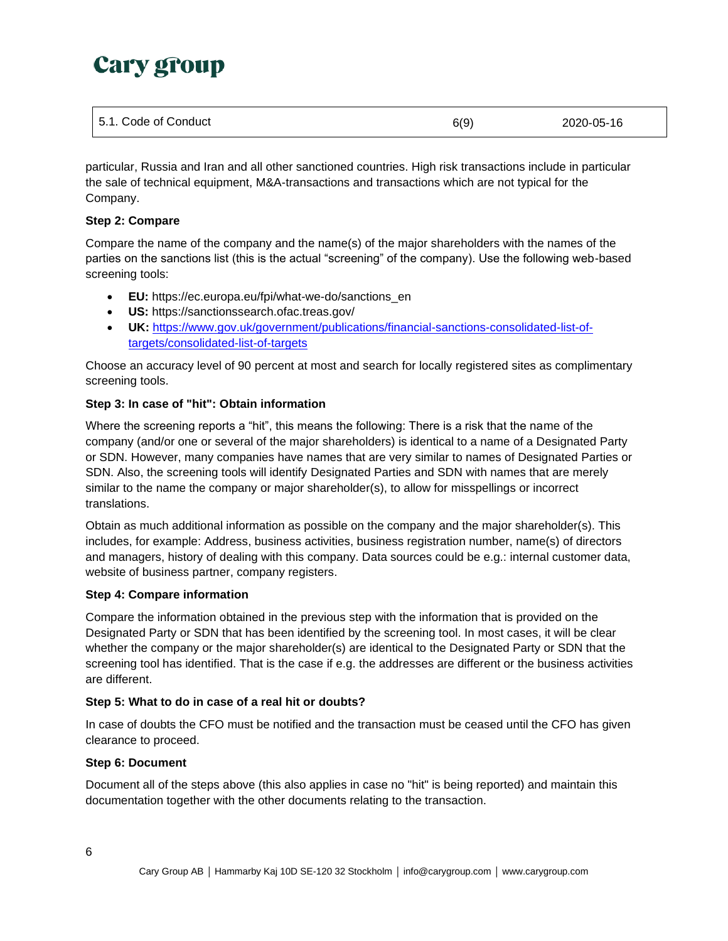| 5.1. Code of Conduct | 6(9) | 2020-05-16 |
|----------------------|------|------------|
|----------------------|------|------------|

particular, Russia and Iran and all other sanctioned countries. High risk transactions include in particular the sale of technical equipment, M&A-transactions and transactions which are not typical for the Company.

#### **Step 2: Compare**

Compare the name of the company and the name(s) of the major shareholders with the names of the parties on the sanctions list (this is the actual "screening" of the company). Use the following web-based screening tools:

- **EU:** [https://ec.europa.eu/fpi/what-we-do/sanctions\\_en](https://ec.europa.eu/fpi/what-we-do/sanctions_en)
- **US:** https://sanctionssearch.ofac.treas.gov/
- **UK:** [https://www.gov.uk/government/publications/financial-sanctions-consolidated-list-of](https://www.gov.uk/government/publications/financial-sanctions-consolidated-list-of-targets/consolidated-list-of-targets)[targets/consolidated-list-of-targets](https://www.gov.uk/government/publications/financial-sanctions-consolidated-list-of-targets/consolidated-list-of-targets)

Choose an accuracy level of 90 percent at most and search for locally registered sites as complimentary screening tools.

#### **Step 3: In case of "hit": Obtain information**

Where the screening reports a "hit", this means the following: There is a risk that the name of the company (and/or one or several of the major shareholders) is identical to a name of a Designated Party or SDN. However, many companies have names that are very similar to names of Designated Parties or SDN. Also, the screening tools will identify Designated Parties and SDN with names that are merely similar to the name the company or major shareholder(s), to allow for misspellings or incorrect translations.

Obtain as much additional information as possible on the company and the major shareholder(s). This includes, for example: Address, business activities, business registration number, name(s) of directors and managers, history of dealing with this company. Data sources could be e.g.: internal customer data, website of business partner, company registers.

#### **Step 4: Compare information**

Compare the information obtained in the previous step with the information that is provided on the Designated Party or SDN that has been identified by the screening tool. In most cases, it will be clear whether the company or the major shareholder(s) are identical to the Designated Party or SDN that the screening tool has identified. That is the case if e.g. the addresses are different or the business activities are different.

#### **Step 5: What to do in case of a real hit or doubts?**

In case of doubts the CFO must be notified and the transaction must be ceased until the CFO has given clearance to proceed.

#### **Step 6: Document**

Document all of the steps above (this also applies in case no "hit" is being reported) and maintain this documentation together with the other documents relating to the transaction.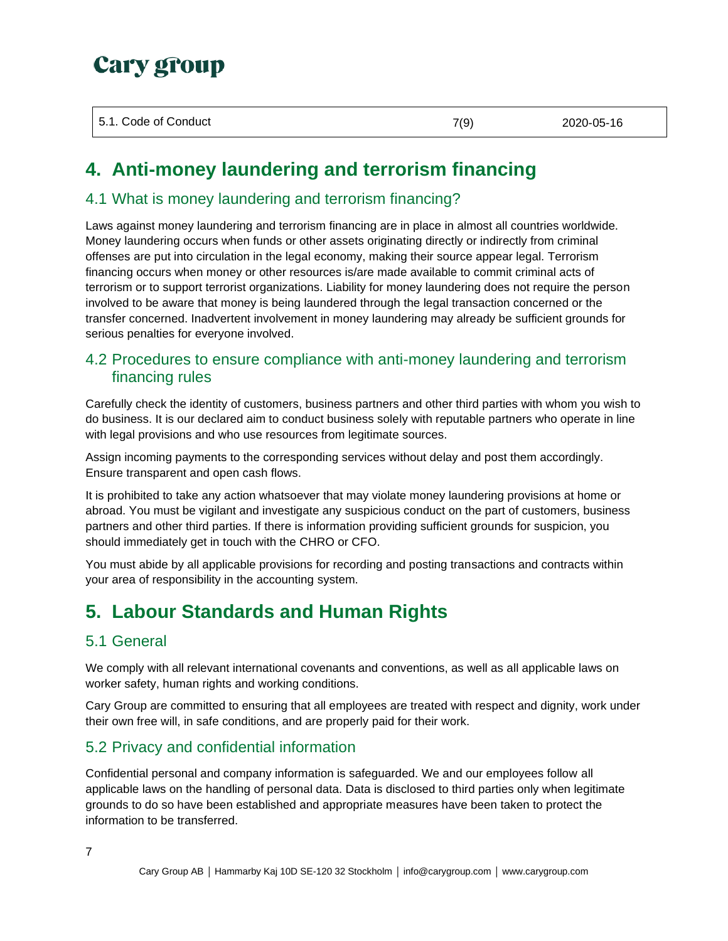| 5.1. Code of Conduct | 7(9) | 2020-05-16 |
|----------------------|------|------------|
|                      |      |            |

## **4. Anti-money laundering and terrorism financing**

## 4.1 What is money laundering and terrorism financing?

Laws against money laundering and terrorism financing are in place in almost all countries worldwide. Money laundering occurs when funds or other assets originating directly or indirectly from criminal offenses are put into circulation in the legal economy, making their source appear legal. Terrorism financing occurs when money or other resources is/are made available to commit criminal acts of terrorism or to support terrorist organizations. Liability for money laundering does not require the person involved to be aware that money is being laundered through the legal transaction concerned or the transfer concerned. Inadvertent involvement in money laundering may already be sufficient grounds for serious penalties for everyone involved.

## 4.2 Procedures to ensure compliance with anti-money laundering and terrorism financing rules

Carefully check the identity of customers, business partners and other third parties with whom you wish to do business. It is our declared aim to conduct business solely with reputable partners who operate in line with legal provisions and who use resources from legitimate sources.

Assign incoming payments to the corresponding services without delay and post them accordingly. Ensure transparent and open cash flows.

It is prohibited to take any action whatsoever that may violate money laundering provisions at home or abroad. You must be vigilant and investigate any suspicious conduct on the part of customers, business partners and other third parties. If there is information providing sufficient grounds for suspicion, you should immediately get in touch with the CHRO or CFO.

You must abide by all applicable provisions for recording and posting transactions and contracts within your area of responsibility in the accounting system.

## **5. Labour Standards and Human Rights**

## <span id="page-6-0"></span>5.1 General

We comply with all relevant international covenants and conventions, as well as all applicable laws on worker safety, human rights and working conditions.

Cary Group are committed to ensuring that all employees are treated with respect and dignity, work under their own free will, in safe conditions, and are properly paid for their work.

## <span id="page-6-1"></span>5.2 Privacy and confidential information

Confidential personal and company information is safeguarded. We and our employees follow all applicable laws on the handling of personal data. Data is disclosed to third parties only when legitimate grounds to do so have been established and appropriate measures have been taken to protect the information to be transferred.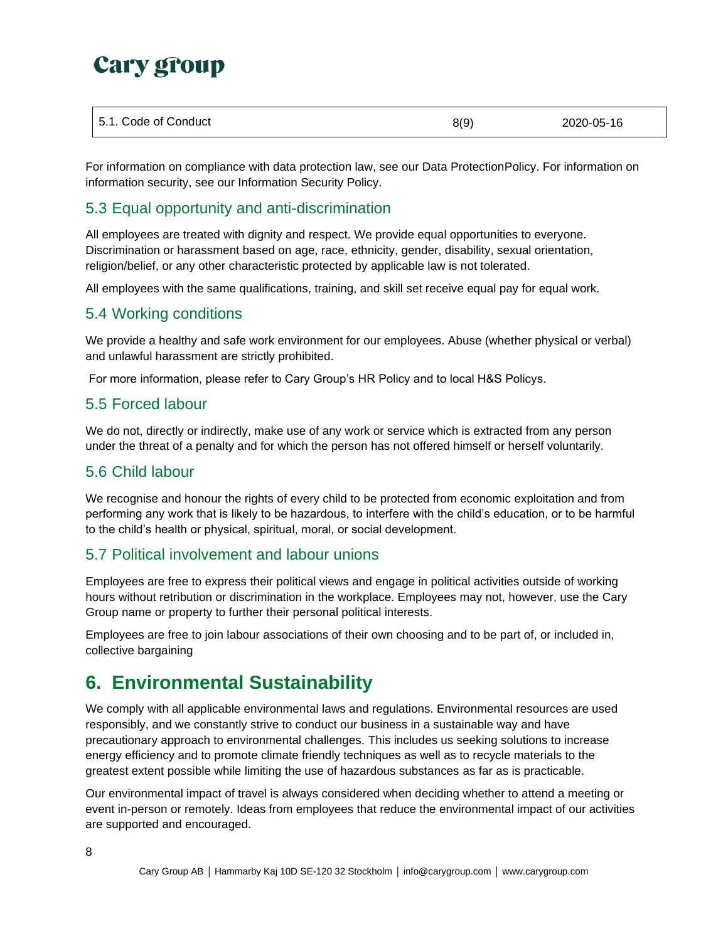For information on compliance with data protection law, see our Data ProtectionPolicy. For information on information security, see our Information Security Policy.

## <span id="page-7-0"></span>5.3 Equal opportunity and anti-discrimination

All employees are treated with dignity and respect. We provide equal opportunities to everyone. Discrimination or harassment based on age, race, ethnicity, gender, disability, sexual orientation, religion/belief, or any other characteristic protected by applicable law is not tolerated.

All employees with the same qualifications, training, and skill set receive equal pay for equal work.

### <span id="page-7-1"></span>5.4 Working conditions

We provide a healthy and safe work environment for our employees. Abuse (whether physical or verbal) and unlawful harassment are strictly prohibited.

For more information, please refer to Cary Group's HR Policy and to local H&S Policys.

### <span id="page-7-2"></span>5.5 Forced labour

We do not, directly or indirectly, make use of any work or service which is extracted from any person under the threat of a penalty and for which the person has not offered himself or herself voluntarily.

### <span id="page-7-3"></span>5.6 Child labour

We recognise and honour the rights of every child to be protected from economic exploitation and from performing any work that is likely to be hazardous, to interfere with the child's education, or to be harmful to the child's health or physical, spiritual, moral, or social development.

### <span id="page-7-4"></span>5.7 Political involvement and labour unions

Employees are free to express their political views and engage in political activities outside of working hours without retribution or discrimination in the workplace. Employees may not, however, use the Cary Group name or property to further their personal political interests.

Employees are free to join labour associations of their own choosing and to be part of, or included in, collective bargaining

## <span id="page-7-5"></span>**6. Environmental Sustainability**

We comply with all applicable environmental laws and regulations. Environmental resources are used responsibly, and we constantly strive to conduct our business in a sustainable way and have precautionary approach to environmental challenges. This includes us seeking solutions to increase energy efficiency and to promote climate friendly techniques as well as to recycle materials to the greatest extent possible while limiting the use of hazardous substances as far as is practicable.

Our environmental impact of travel is always considered when deciding whether to attend a meeting or event in-person or remotely. Ideas from employees that reduce the environmental impact of our activities are supported and encouraged.